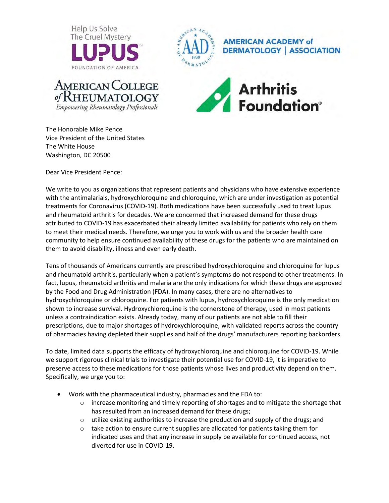



**AMERICAN ACADEMY of DERMATOLOGY | ASSOCIATION** 





The Honorable Mike Pence Vice President of the United States The White House Washington, DC 20500

Dear Vice President Pence:

We write to you as organizations that represent patients and physicians who have extensive experience with the antimalarials, hydroxychloroquine and chloroquine, which are under investigation as potential treatments for Coronavirus (COVID-19). Both medications have been successfully used to treat lupus and rheumatoid arthritis for decades. We are concerned that increased demand for these drugs attributed to COVID-19 has exacerbated their already limited availability for patients who rely on them to meet their medical needs. Therefore, we urge you to work with us and the broader health care community to help ensure continued availability of these drugs for the patients who are maintained on them to avoid disability, illness and even early death.

Tens of thousands of Americans currently are prescribed hydroxychloroquine and chloroquine for lupus and rheumatoid arthritis, particularly when a patient's symptoms do not respond to other treatments. In fact, lupus, rheumatoid arthritis and malaria are the only indications for which these drugs are approved by the Food and Drug Administration (FDA). In many cases, there are no alternatives to hydroxychloroquine or chloroquine. For patients with lupus, hydroxychloroquine is the only medication shown to increase survival. Hydroxychloroquine is the cornerstone of therapy, used in most patients unless a contraindication exists. Already today, many of our patients are not able to fill their prescriptions, due to major shortages of hydroxychloroquine, with validated reports across the country of pharmacies having depleted their supplies and half of the drugs' manufacturers reporting backorders.

To date, limited data supports the efficacy of hydroxychloroquine and chloroquine for COVID-19. While we support rigorous clinical trials to investigate their potential use for COVID-19, it is imperative to preserve access to these medications for those patients whose lives and productivity depend on them. Specifically, we urge you to:

- Work with the pharmaceutical industry, pharmacies and the FDA to:
	- $\circ$  increase monitoring and timely reporting of shortages and to mitigate the shortage that has resulted from an increased demand for these drugs;
	- $\circ$  utilize existing authorities to increase the production and supply of the drugs; and
	- o take action to ensure current supplies are allocated for patients taking them for indicated uses and that any increase in supply be available for continued access, not diverted for use in COVID-19.